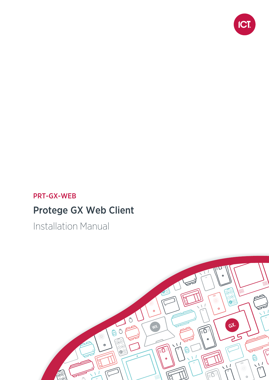

## PRT-GX-WEB

# Protege GX Web Client

Installation Manual

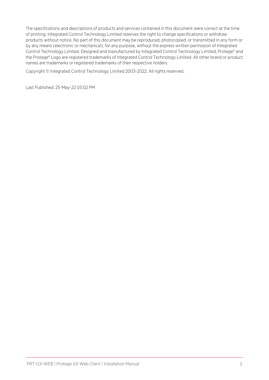The specifications and descriptions of products and services contained in this document were correct at the time of printing. Integrated Control Technology Limited reserves the right to change specifications or withdraw products without notice. No part of this document may be reproduced, photocopied, or transmitted in any form or by any means (electronic or mechanical), for any purpose, without the express written permission of Integrated Control Technology Limited. Designed and manufactured by Integrated Control Technology Limited, Protege® and the Protege® Logo are registered trademarks of Integrated Control Technology Limited. All other brand or product names are trademarks or registered trademarks of their respective holders.

Copyright © Integrated Control Technology Limited 2003-2022. All rights reserved.

Last Published: 25-May-22 03:02 PM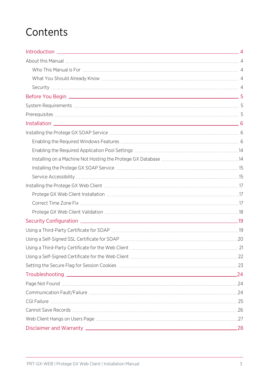# **Contents**

| 24  |
|-----|
|     |
|     |
|     |
|     |
|     |
| .28 |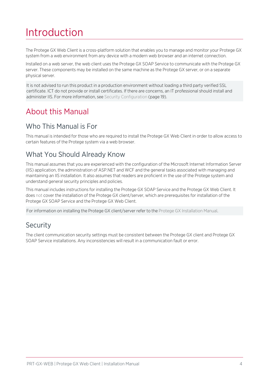# <span id="page-3-0"></span>Introduction

The Protege GX Web Client is a cross-platform solution that enables you to manage and monitor your Protege GX system from a web environment from any device with a modern web browser and an internet connection.

Installed on a web server, the web client uses the Protege GX SOAP Service to communicate with the Protege GX server. These components may be installed on the same machine as the Protege GX server, or on a separate physical server.

It is not advised to run this product in a production environment without loading a third party verified SSL certificate. ICT do not provide or install certificates. If there are concerns, an IT professional should install and administer IIS. For more information, see Security [Configuration](#page-18-0) (page 19).

# <span id="page-3-2"></span><span id="page-3-1"></span>About this Manual

### Who This Manual is For

<span id="page-3-3"></span>This manual is intended for those who are required to install the Protege GX Web Client in order to allow access to certain features of the Protege system via a web browser.

### What You Should Already Know

This manual assumes that you are experienced with the configuration of the Microsoft Internet Information Server (IIS) application, the administration of ASP.NET and WCF and the general tasks associated with managing and maintaining an IIS installation. It also assumes that readers are proficient in the use of the Protege system and understand general security principles and policies.

This manual includes instructions for installing the Protege GX SOAP Service and the Protege GX Web Client. It does not cover the installation of the Protege GX client/server, which are prerequisites for installation of the Protege GX SOAP Service and the Protege GX Web Client.

<span id="page-3-4"></span>For information on installing the Protege GX client/server refer to the Protege GX Installation Manual.

### **Security**

The client communication security settings must be consistent between the Protege GX client and Protege GX SOAP Service installations. Any inconsistencies will result in a communication fault or error.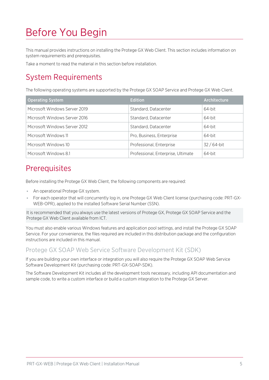# <span id="page-4-0"></span>Before You Begin

This manual provides instructions on installing the Protege GX Web Client. This section includes information on system requirements and prerequisites.

<span id="page-4-1"></span>Take a moment to read the material in this section before installation.

# System Requirements

The following operating systems are supported by the Protege GX SOAP Service and Protege GX Web Client.

| <b>Operating System</b>       | <b>Edition</b>                     | <b>Architecture</b> |
|-------------------------------|------------------------------------|---------------------|
| Microsoft Windows Server 2019 | Standard, Datacenter               | 64-bit              |
| Microsoft Windows Server 2016 | Standard, Datacenter               | 64-bit              |
| Microsoft Windows Server 2012 | Standard, Datacenter               | 64-bit              |
| Microsoft Windows 11          | Pro, Business, Enterprise          | 64-bit              |
| Microsoft Windows 10          | Professional, Enterprise           | 32 / 64-bit         |
| Microsoft Windows 8.1         | Professional, Enterprise, Ultimate | 64-bit              |

## <span id="page-4-2"></span>**Prerequisites**

Before installing the Protege GX Web Client, the following components are required:

- ⦁ An operational Protege GX system.
- ⦁ For each operator that will concurrently log in, one Protege GX Web Client license (purchasing code: PRT-GX-WEB-OPR), applied to the installed Software Serial Number (SSN).

It is recommended that you always use the latest versions of Protege GX, Protege GX SOAP Service and the Protege GX Web Client available from ICT.

You must also enable various Windows features and application pool settings, and install the Protege GX SOAP Service. For your convenience, the files required are included in this distribution package and the configuration instructions are included in this manual.

### Protege GX SOAP Web Service Software Development Kit (SDK)

If you are building your own interface or integration you will also require the Protege GX SOAP Web Service Software Development Kit (purchasing code: PRT-GX-SOAP-SDK).

The Software Development Kit includes all the development tools necessary, including API documentation and sample code, to write a custom interface or build a custom integration to the Protege GX Server.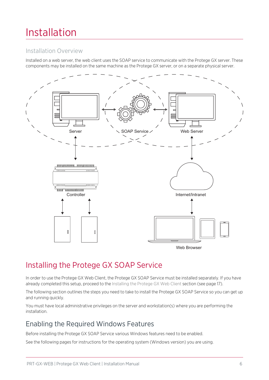# <span id="page-5-0"></span>Installation

### Installation Overview

Installed on a web server, the web client uses the SOAP service to communicate with the Protege GX server. These components may be installed on the same machine as the Protege GX server, or on a separate physical server.



<span id="page-5-1"></span>Installing the Protege GX SOAP Service

In order to use the Protege GX Web Client, the Protege GX SOAP Service must be installed separately. If you have already completed this setup, proceed to the Installing the Protege GX Web Client section (see [page 17\).](#page-16-0)

The following section outlines the steps you need to take to install the Protege GX SOAP Service so you can get up and running quickly.

<span id="page-5-2"></span>You must have local administrative privileges on the server and workstation(s) where you are performing the installation.

### Enabling the Required Windows Features

Before installing the Protege GX SOAP Service various Windows features need to be enabled.

See the following pages for instructions for the operating system (Windows version) you are using.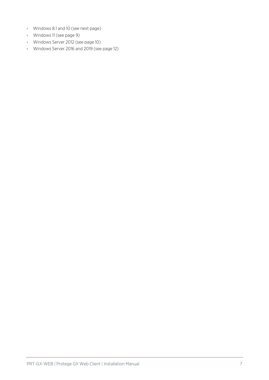- ⦁ Windows 8.1 and 10 (see next [page\)](#page-7-0)
- ⦁ Windows 11 (see [page 9\)](#page-8-0)
- ⦁ Windows Server 2012 (see [page 10\)](#page-9-0)
- ⦁ Windows Server 2016 and 2019 (see [page 12\)](#page-11-0)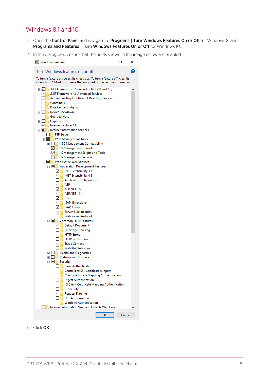### <span id="page-7-0"></span>Windows 8.1 and 10

- 1. Open the Control Panel and navigate to Programs | Turn Windows Features On or Off for Windows 8, and Programs and Features | Turn Windows Features On or Off for Windows 10.
- 2. In the dialog box, ensure that the fields shown in the image below are enabled.



3. Click OK.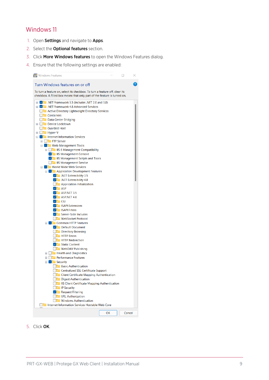### <span id="page-8-0"></span>Windows 11

- 1. Open Settings and navigate to Apps.
- 2. Select the **Optional features** section.
- 3. Click More Windows features to open the Windows Features dialog.
- 4. Ensure that the following settings are enabled:



#### 5. Click OK.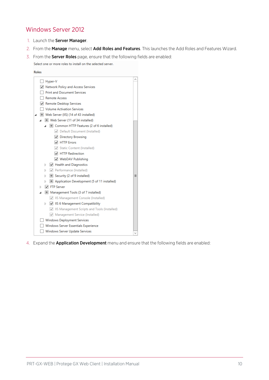### <span id="page-9-0"></span>Windows Server 2012

- 1. Launch the Server Manager.
- 2. From the Manage menu, select Add Roles and Features. This launches the Add Roles and Features Wizard.
- 3. From the **Server Roles** page, ensure that the following fields are enabled:

Select one or more roles to install on the selected server.



4. Expand the **Application Development** menu and ensure that the following fields are enabled: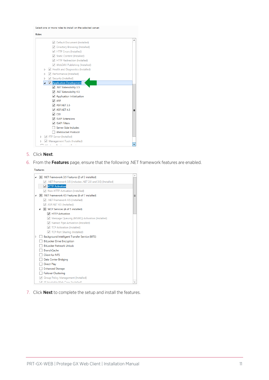Select one or more roles to install on the selected server.



- 5. Click Next.
- 6. From the Features page, ensure that the following .NET framework features are enabled.

Features △ ■ .NET Framework 3.5 Features (2 of 3 installed) NET Framework 3.5 (includes .NET 2.0 and 3.0) (Installed) **V** HTTP Activation Non-HTTP Activation (Installed) A III .NET Framework 4.5 Features (6 of 7 installed)  $\equiv$  $\sqrt{ }$  .NET Framework 4.5 (Installed)  $\sqrt{ }$  ASP.NET 4.5 (Installed) △ ■ WCF Services (4 of 5 installed) HTTP Activation Message Queuing (MSMQ) Activation (Installed) Named Pipe Activation (Installed) TCP Activation (Installed) TCP Port Sharing (Installed)  $\triangleright$   $\Box$  Background Intelligent Transfer Service (BITS) BitLocker Drive Encryption BitLocker Network Unlock □ BranchCache  $\Box$  Client for NFS Data Center Bridging Direct Play Enhanced Storage Failover Clustering Group Policy Management (Installed) Mah One (Installad)

7. Click **Next** to complete the setup and install the features.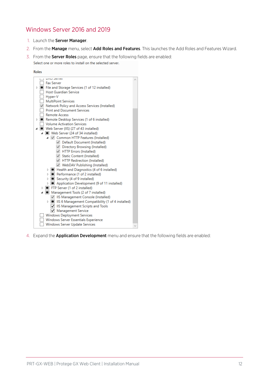### <span id="page-11-0"></span>Windows Server 2016 and 2019

- 1. Launch the Server Manager.
- 2. From the Manage menu, select Add Roles and Features. This launches the Add Roles and Features Wizard.
- 3. From the **Server Roles** page, ensure that the following fields are enabled: Select one or more roles to install on the selected server.



4. Expand the **Application Development** menu and ensure that the following fields are enabled: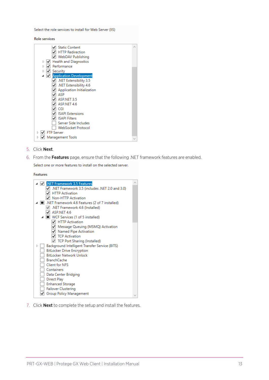Select the role services to install for Web Server (IIS)

**Role services** 

| √ Static Content                        |  |
|-----------------------------------------|--|
| <b>HTTP Redirection</b>                 |  |
| √ WebDAV Publishing                     |  |
| <b>Health and Diagnostics</b><br>⊻<br>Þ |  |
| Performance                             |  |
| Security                                |  |
| <b>Application Development</b>          |  |
| NET Extensibility 3.5                   |  |
| .NET Extensibility 4.6                  |  |
| Application Initialization              |  |
| ASP                                     |  |
| ASP.NET 3.5                             |  |
| ASP.NET 4.6                             |  |
| CGI                                     |  |
| <b>ISAPI Extensions</b>                 |  |
| <b>ISAPI Filters</b>                    |  |
| Server Side Includes                    |  |
| WebSocket Protocol                      |  |
| <b>FTP Server</b>                       |  |
| Management Tools                        |  |
|                                         |  |

- 5. Click Next.
- 6. From the Features page, ensure that the following .NET framework features are enabled.

Select one or more features to install on the selected server.

Features



7. Click **Next** to complete the setup and install the features.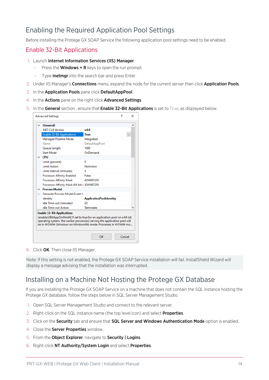### <span id="page-13-0"></span>Enabling the Required Application Pool Settings

Before installing the Protege GX SOAP Service the following application pool settings need to be enabled.

#### Enable 32-Bit Applications

- 1. Launch Internet Information Services (IIS) Manager.
	- Press the **Windows + R** keys to open the run prompt.
	- Type **inetmgr** into the search bar and press Enter.
- 2. Under IIS Manager's **Connections** menu, expand the node for the current server then click **Application Pools**.
- 3. In the Application Pools pane click DefaultAppPool.
- 4. In the Actions pane on the right click Advanced Settings.
- 5. In the General section, ensure that Enable 32-Bit Applications is set to True, as displayed below.

|               | $\vee$ (General)                             |                                |  |  |
|---------------|----------------------------------------------|--------------------------------|--|--|
|               | .NET CLR Version                             | v4.0                           |  |  |
|               | <b>Enable 32-Bit Applications</b>            | True<br>$\checkmark$           |  |  |
|               | Managed Pipeline Mode                        | Integrated                     |  |  |
|               | Name                                         | DefaultAppPool                 |  |  |
|               | Queue Length                                 | 1000                           |  |  |
|               | <b>Start Mode</b>                            | OnDemand                       |  |  |
|               | $\vee$ CPU                                   |                                |  |  |
|               | Limit (percent)                              | 0                              |  |  |
|               | <b>Limit Action</b>                          | <b>NoAction</b>                |  |  |
|               | Limit Interval (minutes)                     | 5                              |  |  |
|               | <b>Processor Affinity Enabled</b>            | False                          |  |  |
|               | <b>Processor Affinity Mask</b>               | 4294967295                     |  |  |
|               | Processor Affinity Mask (64-bit c 4294967295 |                                |  |  |
|               | $\times$ Process Model                       |                                |  |  |
| $\rightarrow$ | Generate Process Model Event Li              |                                |  |  |
|               | Identity                                     | <b>ApplicationPoolIdentity</b> |  |  |
|               | Idle Time-out (minutes)                      | 20                             |  |  |
|               | <b>Idle Time-out Action</b>                  | Terminate                      |  |  |

6. Click OK. Then close IIS Manager.

<span id="page-13-1"></span>Note: If this setting is not enabled, the Protege GX SOAP Service installation will fail. InstallShield Wizard will display a message advising that the installation was interrupted.

### Installing on a Machine Not Hosting the Protege GX Database

If you are installing the Protege GX SOAP Service on a machine that does not contain the SQL instance hosting the Protege GX database, follow the steps below in SQL Server Management Studio.

- 1. Open SQL Server Management Studio and connect to the relevant server.
- 2. Right-click on the SQL instance name (the top level icon) and select **Properties**.
- 3. Click on the Security tab and ensure that SQL Server and Windows Authentication Mode option is enabled.
- 4. Close the Server Properties window.
- 5. From the Object Explorer, navigate to Security | Logins.
- 6. Right-click NT Authority/System Login and select Properties.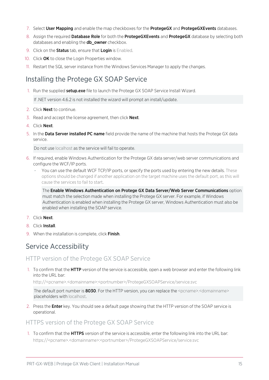- 7. Select User Mapping and enable the map checkboxes for the ProtegeGX and ProtegeGXEvents databases.
- 8. Assign the required Database Role for both the ProtegeGXEvents and ProtegeGX database by selecting both databases and enabling the **db\_owner** checkbox.
- 9. Click on the **Status** tab, ensure that Login is Enabled.
- 10. Click OK to close the Login Properties window.
- <span id="page-14-0"></span>11. Restart the SQL server instance from the Windows Services Manager to apply the changes.

### Installing the Protege GX SOAP Service

1. Run the supplied setup.exe file to launch the Protege GX SOAP Service Install Wizard.

If .NET version 4.6.2 is not installed the wizard will prompt an install/update.

- 2. Click Next to continue.
- 3. Read and accept the license agreement, then click **Next**.
- 4. Click Next.
- 5. In the Data Server installed PC name field provide the name of the machine that hosts the Protege GX data service.

Do not use localhost as the service will fail to operate.

- 6. If required, enable Windows Authentication for the Protege GX data server/web server communications and configure the WCF/IP ports.
	- You can use the default WCF TCP/IP ports, or specify the ports used by entering the new details. These options should be changed if another application on the target machine uses the default port, as this will cause the services to fail to start.

The Enable Windows Authentication on Protege GX Data Server/Web Server Communications option must match the selection made when installing the Protege GX server. For example, if Windows Authentication is enabled when installing the Protege GX server, Windows Authentication must also be enabled when installing the SOAP service.

- 7. Click Next.
- 8. Click **Install**
- <span id="page-14-1"></span>9. When the installation is complete, click Finish.

### Service Accessibility

#### HTTP version of the Protege GX SOAP Service

1. To confirm that the **HTTP** version of the service is accessible, open a web browser and enter the following link into the URL bar:

http://<pcname>.<domainname>:<portnumber>/ProtegeGXSOAPService/service.svc

The default port number is 8030. For the HTTP version, you can replace the <pcname>.<domainname> placeholders with localhost.

2. Press the **Enter** key. You should see a default page showing that the HTTP version of the SOAP service is operational.

#### HTTPS version of the Protege GX SOAP Service

1. To confirm that the HTTPS version of the service is accessible, enter the following link into the URL bar: https://<pcname>.<domainname>:<portnumber>/ProtegeGXSOAPService/service.svc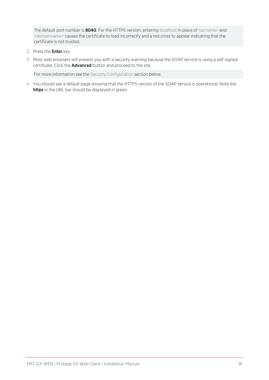The default port number is 8040. For the HTTPS version, entering localhost in place of <pcname> and <domainname> causes the certificate to load incorrectly and a red cross to appear indicating that the certificate is not trusted.

- 2. Press the Enter key.
- 3. Most web browsers will present you with a security warning because the SOAP service is using a self-signed certificate. Click the **Advanced** button and proceed to the site.

For more information see the Security Configuration section below.

4. You should see a default page showing that the HTTPS version of the SOAP service is operational. Note the https in the URL bar should be displayed in green.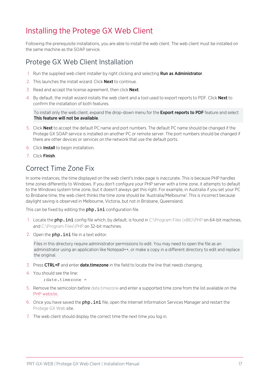# <span id="page-16-0"></span>Installing the Protege GX Web Client

<span id="page-16-1"></span>Following the prerequisite installations, you are able to install the web client. The web client must be installed on the same machine as the SOAP service.

### Protege GX Web Client Installation

- 1. Run the supplied web client installer by right clicking and selecting **Run as Administrator**.
- 2. This launches the install wizard. Click **Next** to continue.
- 3. Read and accept the license agreement, then click **Next**.
- 4. By default, the install wizard installs the web client and a tool used to export reports to PDF. Click Next to confirm the installation of both features.

To install only the web client, expand the drop-down menu for the **Export reports to PDF** feature and select This feature will not be available.

- 5. Click Next to accept the default PC name and port numbers. The default PC name should be changed if the Protege GX SOAP service is installed on another PC or remote server. The port numbers should be changed if there are other devices or services on the network that use the default ports.
- 6. Click Install to begin installation.
- <span id="page-16-2"></span>7. Click Finish.

### Correct Time Zone Fix

In some instances, the time displayed on the web client's index page is inaccurate. This is because PHP handles time zones differently to Windows. If you don't configure your PHP server with a time zone, it attempts to default to the Windows system time zone, but it doesn't always get this right. For example, in Australia if you set your PC to Brisbane time, the web client thinks the time zone should be 'Australia/Melbourne'. This is incorrect because daylight saving is observed in Melbourne, Victoria, but not in Brisbane, Queensland.

This can be fixed by editing the php.ini configuration file.

- 1. Locate the **php.ini** config file which, by default, is found in C:\Program Files (x86)\PHP on 64-bit machines, and C:\Program Files\PHP on 32-bit machines.
- 2. Open the  $php.ini$  file in a text editor.

Files in this directory require administrator permissions to edit. You may need to open the file as an administrator using an application like Notepad++, or make a copy in a different directory to edit and replace the original.

- 3. Press CTRL+F and enter date.timezone in the field to locate the line that needs changing.
- 4. You should see the line:

;date.timezone =

- 5. Remove the semicolon before date.timezone and enter a supported time zone from the list available on the PHP [website.](http://php.net/manual/en/timezones.php)
- 6. Once you have saved the  $ph$ , ini file, open the Internet Information Services Manager and restart the Protege GX Web site.
- 7. The web client should display the correct time the next time you log in.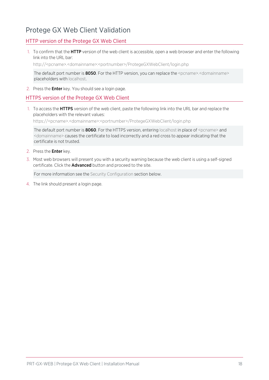### <span id="page-17-0"></span>Protege GX Web Client Validation

#### HTTP version of the Protege GX Web Client

1. To confirm that the HTTP version of the web client is accessible, open a web browser and enter the following link into the URL bar:

http://<pcname>.<domainname>:<portnumber>/ProtegeGXWebClient/login.php

The default port number is 8050. For the HTTP version, you can replace the <pcname>.<domainname> placeholders with localhost.

2. Press the **Enter** key. You should see a login page.

#### HTTPS version of the Protege GX Web Client

1. To access the **HTTPS** version of the web client, paste the following link into the URL bar and replace the placeholders with the relevant values:

https://<pcname>.<domainname>:<portnumber>/ProtegeGXWebClient/login.php

The default port number is **8060**. For the HTTPS version, entering localhost in place of  $\epsilon$  pcname> and <domainname> causes the certificate to load incorrectly and a red cross to appear indicating that the certificate is not trusted.

- 2. Press the **Enter** kev.
- 3. Most web browsers will present you with a security warning because the web client is using a self-signed certificate. Click the **Advanced** button and proceed to the site.

For more information see the Security Configuration section below.

4. The link should present a login page.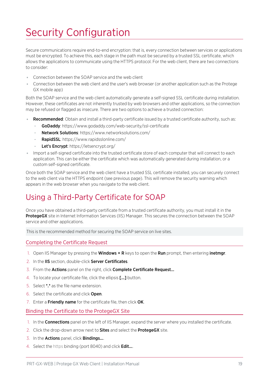# <span id="page-18-0"></span>Security Configuration

Secure communications require end-to-end encryption: that is, every connection between services or applications must be encrypted. To achieve this, each stage in the path must be secured by a trusted SSL certificate, which allows the applications to communicate using the HTTPS protocol. For the web client, there are two connections to consider:

- ⦁ Connection between the SOAP service and the web client
- ⦁ Connection between the web client and the user's web browser (or another application such as the Protege GX mobile app)

Both the SOAP service and the web client automatically generate a self-signed SSL certificate during installation. However, these certificates are not inherently trusted by web browsers and other applications, so the connection may be refused or flagged as insecure. There are two options to achieve a trusted connection:

- Recommended: Obtain and install a third-party certificate issued by a trusted certificate authority, such as: GoDaddy: https://www.godaddy.com/web-security/ssl-certificate
	- Network Solutions: https://www.networksolutions.com/
	- RapidSSL: https://www.rapidsslonline.com/
	- Let's Encrypt: https://letsencrypt.org/
- ⦁ Import a self-signed certificate into the trusted certificate store of each computer that will connect to each application. This can be either the certificate which was automatically generated during installation, or a custom self-signed certificate.

Once both the SOAP service and the web client have a trusted SSL certificate installed, you can securely connect to the web client via the HTTPS endpoint (see [previous](#page-17-0) page). This will remove the security warning which appears in the web browser when you navigate to the web client.

### <span id="page-18-1"></span>Using a Third-Party Certificate for SOAP

Once you have obtained a third-party certificate from a trusted certificate authority, you must install it in the ProtegeGX site in Internet Information Services (IIS) Manager. This secures the connection between the SOAP service and other applications.

This is the recommended method for securing the SOAP service on live sites.

#### Completing the Certificate Request

- 1. Open IIS Manager by pressing the **Windows + R** keys to open the **Run** prompt, then entering **inetmgr**.
- 2. In the IIS section, double-click Server Certificates.
- 3. From the Actions panel on the right, click Complete Certificate Request...
- 4. To locate your certificate file, click the ellipsis [...] button.
- 5. Select \*.\* as the file name extension.
- 6. Select the certificate and click Open.
- 7. Enter a Friendly name for the certificate file, then click OK.

#### Binding the Certificate to the ProtegeGX Site

- 1. In the **Connections** panel on the left of IIS Manager, expand the server where you installed the certificate.
- 2. Click the drop-down arrow next to **Sites** and select the **ProtegeGX** site.
- 3. In the **Actions** panel, click **Bindings...**
- 4. Select the https binding (port 8040) and click Edit....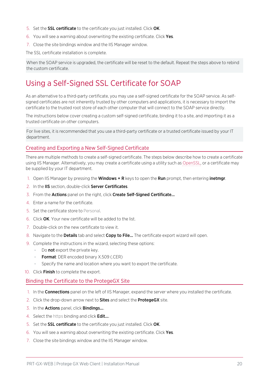- 5. Set the SSL certificate to the certificate you just installed. Click OK.
- 6. You will see a warning about overwriting the existing certificate. Click Yes.
- 7. Close the site bindings window and the IIS Manager window.

The SSL certificate installation is complete.

<span id="page-19-0"></span>When the SOAP service is upgraded, the certificate will be reset to the default. Repeat the steps above to rebind the custom certificate.

## Using a Self-Signed SSL Certificate for SOAP

As an alternative to a third-party certificate, you may use a self-signed certificate for the SOAP service. As selfsigned certificates are not inherently trusted by other computers and applications, it is necessary to import the certificate to the trusted root store of each other computer that will connect to the SOAP service directly.

The instructions below cover creating a custom self-signed certificate, binding it to a site, and importing it as a trusted certificate on other computers.

For live sites, it is recommended that you use a third-party certificate or a trusted certificate issued by your IT department.

#### Creating and Exporting a New Self-Signed Certificate

There are multiple methods to create a self-signed certificate. The steps below describe how to create a certificate using IIS Manager. Alternatively, you may create a certificate using a utility such as [OpenSSL,](https://www.openssl.org/) or a certificate may be supplied by your IT department.

- 1. Open IIS Manager by pressing the **Windows + R** keys to open the **Run** prompt, then entering **inetmgr**.
- 2. In the IIS section, double-click Server Certificates.
- 3. From the Actions panel on the right, click Create Self-Signed Certificate...
- 4. Enter a name for the certificate.
- 5. Set the certificate store to Personal.
- 6. Click OK. Your new certificate will be added to the list.
- 7. Double-click on the new certificate to view it.
- 8. Navigate to the **Details** tab and select **Copy to File...** The certificate export wizard will open.
- 9. Complete the instructions in the wizard, selecting these options:
	- Do not export the private key.
	- **Format:** DER encoded binary X.509 (.CER)
	- Specify the name and location where you want to export the certificate.
- 10. Click Finish to complete the export.

#### Binding the Certificate to the ProtegeGX Site

- 1. In the **Connections** panel on the left of IIS Manager, expand the server where you installed the certificate.
- 2. Click the drop-down arrow next to **Sites** and select the **ProtegeGX** site.
- 3. In the **Actions** panel, click **Bindings...**
- 4. Select the https binding and click **Edit...**
- 5. Set the SSL certificate to the certificate you just installed. Click OK.
- 6. You will see a warning about overwriting the existing certificate. Click Yes.
- 7. Close the site bindings window and the IIS Manager window.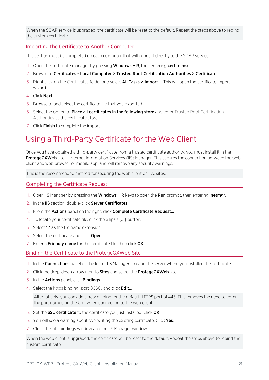When the SOAP service is upgraded, the certificate will be reset to the default. Repeat the steps above to rebind the custom certificate.

#### Importing the Certificate to Another Computer

This section must be completed on each computer that will connect directly to the SOAP service.

- 1. Open the certificate manager by pressing **Windows**  $+ R$ , then entering **certim.msc**.
- 2. Browse to Certificates Local Computer > Trusted Root Certification Authorities > Certificates.
- 3. Right click on the Certificates folder and select **All Tasks > Import...**. This will open the certificate import wizard.
- 4. Click Next.
- 5. Browse to and select the certificate file that you exported.
- 6. Select the option to **Place all certificates in the following store** and enter Trusted Root Certification Authorities as the certificate store.
- <span id="page-20-0"></span>7. Click Finish to complete the import.

## Using a Third-Party Certificate for the Web Client

Once you have obtained a third-party certificate from a trusted certificate authority, you must install it in the ProtegeGXWeb site in Internet Information Services (IIS) Manager. This secures the connection between the web client and web browser or mobile app, and will remove any security warnings.

This is the recommended method for securing the web client on live sites.

#### Completing the Certificate Request

- 1. Open IIS Manager by pressing the Windows + R keys to open the Run prompt, then entering inetmgr.
- 2. In the IIS section, double-click Server Certificates.
- 3. From the **Actions** panel on the right, click **Complete Certificate Request...**
- 4. To locate your certificate file, click the ellipsis [...] button.
- 5. Select \*.\* as the file name extension.
- 6. Select the certificate and click Open.
- 7. Enter a Friendly name for the certificate file, then click OK.

#### Binding the Certificate to the ProtegeGXWeb Site

- 1. In the **Connections** panel on the left of IIS Manager, expand the server where you installed the certificate.
- 2. Click the drop-down arrow next to **Sites** and select the **ProtegeGXWeb** site.
- 3. In the **Actions** panel, click **Bindings...**
- 4. Select the https binding (port 8060) and click Edit....

Alternatively, you can add a new binding for the default HTTPS port of 443. This removes the need to enter the port number in the URL when connecting to the web client.

- 5. Set the SSL certificate to the certificate you just installed. Click OK.
- 6. You will see a warning about overwriting the existing certificate. Click Yes.
- 7. Close the site bindings window and the IIS Manager window.

When the web client is upgraded, the certificate will be reset to the default. Repeat the steps above to rebind the custom certificate.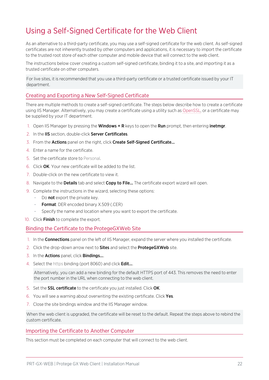# <span id="page-21-0"></span>Using a Self-Signed Certificate for the Web Client

As an alternative to a third-party certificate, you may use a self-signed certificate for the web client. As self-signed certificates are not inherently trusted by other computers and applications, it is necessary to import the certificate to the trusted root store of each other computer and mobile device that will connect to the web client.

The instructions below cover creating a custom self-signed certificate, binding it to a site, and importing it as a trusted certificate on other computers.

For live sites, it is recommended that you use a third-party certificate or a trusted certificate issued by your IT department.

#### Creating and Exporting a New Self-Signed Certificate

There are multiple methods to create a self-signed certificate. The steps below describe how to create a certificate using IIS Manager. Alternatively, you may create a certificate using a utility such as [OpenSSL,](https://www.openssl.org/) or a certificate may be supplied by your IT department.

- 1. Open IIS Manager by pressing the **Windows + R** keys to open the **Run** prompt, then entering *inetmgr.*
- 2. In the IIS section, double-click Server Certificates.
- 3. From the Actions panel on the right, click Create Self-Signed Certificate...
- 4. Enter a name for the certificate.
- 5. Set the certificate store to Personal.
- 6. Click OK. Your new certificate will be added to the list.
- 7. Double-click on the new certificate to view it.
- 8. Navigate to the Details tab and select Copy to File... The certificate export wizard will open.
- 9. Complete the instructions in the wizard, selecting these options:
	- Do not export the private key.
	- Format: DER encoded binary X.509 (.CER)
	- Specify the name and location where you want to export the certificate.
- 10. Click Finish to complete the export.

#### Binding the Certificate to the ProtegeGXWeb Site

- 1. In the **Connections** panel on the left of IIS Manager, expand the server where you installed the certificate.
- 2. Click the drop-down arrow next to **Sites** and select the **ProtegeGXWeb** site.
- 3. In the **Actions** panel, click **Bindings...**
- 4. Select the https binding (port 8060) and click Edit....

Alternatively, you can add a new binding for the default HTTPS port of 443. This removes the need to enter the port number in the URL when connecting to the web client.

- 5. Set the SSL certificate to the certificate you just installed. Click OK.
- 6. You will see a warning about overwriting the existing certificate. Click Yes.
- 7. Close the site bindings window and the IIS Manager window.

When the web client is upgraded, the certificate will be reset to the default. Repeat the steps above to rebind the custom certificate.

#### Importing the Certificate to Another Computer

This section must be completed on each computer that will connect to the web client.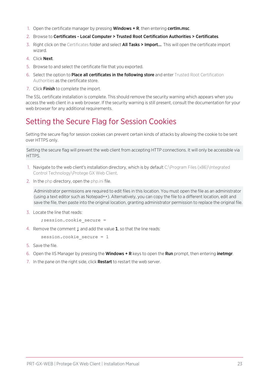- 1. Open the certificate manager by pressing **Windows**  $+ R$ , then entering **certim.msc**.
- 2. Browse to Certificates Local Computer > Trusted Root Certification Authorities > Certificates.
- 3. Right click on the Certificates folder and select **All Tasks > Import...**. This will open the certificate import wizard.
- 4. Click Next.
- 5. Browse to and select the certificate file that you exported.
- 6. Select the option to **Place all certificates in the following store** and enter Trusted Root Certification Authorities as the certificate store.
- 7. Click **Finish** to complete the import.

The SSL certificate installation is complete. This should remove the security warning which appears when you access the web client in a web browser. If the security warning is still present, consult the documentation for your web browser for any additional requirements.

## <span id="page-22-0"></span>Setting the Secure Flag for Session Cookies

Setting the secure flag for session cookies can prevent certain kinds of attacks by allowing the cookie to be sent over HTTPS only.

Setting the secure flag will prevent the web client from accepting HTTP connections. It will only be accessible via HTTPS.

- 1. Navigate to the web client's installation directory, which is by default C:\Program Files (x86)\Integrated Control Technology\Protege GX Web Client.
- 2. In the php directory, open the php.ini file.

Administrator permissions are required to edit files in this location. You must open the file as an administrator (using a text editor such as Notepad++). Alternatively, you can copy the file to a different location, edit and save the file, then paste into the original location, granting administrator permission to replace the original file.

3. Locate the line that reads:

```
;session.cookie_secure =
```
4. Remove the comment; and add the value 1, so that the line reads:

```
session.cookie secure = 1
```
- 5. Save the file.
- 6. Open the IIS Manager by pressing the **Windows + R** keys to open the **Run** prompt, then entering **inetmgr**.
- 7. In the pane on the right side, click Restart to restart the web server.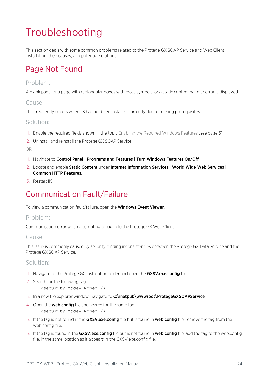# <span id="page-23-0"></span>Troubleshooting

<span id="page-23-1"></span>This section deals with some common problems related to the Protege GX SOAP Service and Web Client installation, their causes, and potential solutions.

# Page Not Found

#### Problem:

A blank page, or a page with rectangular boxes with cross symbols, or a static content handler error is displayed.

#### Cause:

This frequently occurs when IIS has not been installed correctly due to missing prerequisites.

#### Solution:

- 1. Enable the required fields shown in the topic Enabling the Required Windows Features (see [page 6\).](#page-5-2)
- 2. Uninstall and reinstall the Protege GX SOAP Service.

OR

- 1. Navigate to Control Panel | Programs and Features | Turn Windows Features On/Off.
- 2. Locate and enable Static Content under Internet Information Services | World Wide Web Services | Common HTTP Features.
- <span id="page-23-2"></span>3. Restart IIS.

# Communication Fault/Failure

To view a communication fault/failure, open the **Windows Event Viewer**.

#### Problem:

Communication error when attempting to log in to the Protege GX Web Client.

#### Cause:

This issue is commonly caused by security binding inconsistencies between the Protege GX Data Service and the Protege GX SOAP Service.

#### Solution:

- 1. Navigate to the Protege GX installation folder and open the GXSV.exe.config file.
- 2. Search for the following tag: <security mode="None" />
- 3. In a new file explorer window, navigate to C:\inetpub\wwwroot\ProtegeGXSOAPService,
- 4. Open the **web.config** file and search for the same tag: <security mode="None" />
- 5. If the tag is not found in the GXSV.exe.config file but is found in web.config file, remove the tag from the web.config file.
- 6. If the tag is found in the GXSV.exe.config file but is not found in web.config file, add the tag to the web.config file, in the same location as it appears in the GXSV.exe.config file.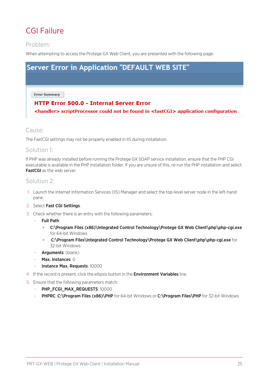# <span id="page-24-0"></span>CGI Failure

### Problem:

When attempting to access the Protege GX Web Client, you are presented with the following page:



The FastCGI settings may not be properly enabled in IIS during installation.

#### Solution 1:

If PHP was already installed before running the Protege GX SOAP service installation, ensure that the PHP CGI executable is available in the PHP installation folder. If you are unsure of this, re-run the PHP installation and select FastCGI as the web server.

#### Solution 2:

- 1. Launch the Internet Information Services (IIS) Manager and select the top-level server node in the left-hand pane.
- 2. Select Fast CGI Settings.
- 3. Check whether there is an entry with the following parameters:
	- Full Path:
		- C:\Program Files (x86)\Integrated Control Technology\Protege GX Web Client\php\php-cgi.exe for 64-bit Windows
		- C:\Program Files\Integrated Control Technology\Protege GX Web Client\php\php-cgi.exe for 32-bit Windows
	- **Arguments**: (blank)
	- Max. Instances: 0
	- Instance Max. Requests: 10000
- 4. If the record is present, click the ellipsis button in the **Environment Variables** line.
- 5. Ensure that the following parameters match:
	- PHP\_FCGI\_MAX\_REQUESTS: 10000
	- PHPRC: C:\Program Files (x86)\PHP for 64-bit Windows or C:\Program Files\PHP for 32-bit Windows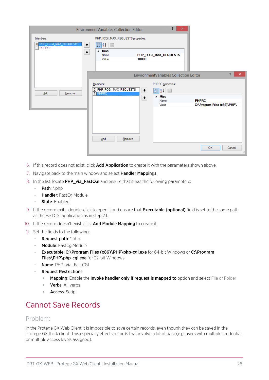|                                                | ş.<br>×<br><b>EnvironmentVariables Collection Editor</b>                                                                                                                                                                                       |                                                              |
|------------------------------------------------|------------------------------------------------------------------------------------------------------------------------------------------------------------------------------------------------------------------------------------------------|--------------------------------------------------------------|
| Members:<br>0 PHP_FCGI_MAX_REQUESTS<br>1 PHPRC | PHP_FCGI_MAX_REQUESTS properties:<br>$\frac{1}{2}$ $\frac{1}{2}$ $\frac{1}{2}$<br>t<br>⊿ Misc<br>$\mathbf +$<br>PHP_FCGI_MAX_REQUESTS<br>Name<br>10000<br>Value                                                                                |                                                              |
| Add<br>Remove                                  | EnvironmentVariables Collection Editor<br>PHPRC properties:<br>Members:<br>0 PHP_FCGI_MAX_REQUESTS<br>$\frac{1}{2}$ $\frac{1}{2}$ $\frac{1}{2}$<br>$\ddot{\phantom{1}}$<br><b>T</b> PHPRC<br>4 Misc<br>$\color{red} \bigstar$<br>Name<br>Value | ?<br>$\times$<br><b>PHPRC</b><br>C:\Program Files (x86)\PHP\ |
|                                                | Add<br>Remove                                                                                                                                                                                                                                  | <b>OK</b><br>Cancel<br>$\ldots$                              |

- 6. If this record does not exist, click **Add Application** to create it with the parameters shown above.
- 7. Navigate back to the main window and select **Handler Mappings**.
- 8. In the list, locate PHP\_via\_FastCGI and ensure that it has the following parameters:
	- **Path:** \*.php
	- Handler: FastCgiModule
	- State: Enabled
- 9. If the record exits, double-click to open it and ensure that **Executable (optional)** field is set to the same path as the FastCGI application as in step 2.1.
- 10. If the record doesn't exist, click Add Module Mapping to create it.
- 11. Set the fields to the following:
	- Request path: \*.php
	- Module: FastCgiModule
	- Executable: C:\Program Files (x86)\PHP\php-cgi.exe for 64-bit Windows or C:\Program Files\PHP\php-cgi.exe for 32-bit Windows
	- Name: PHP\_via\_FastCGI
	- **Request Restrictions:** 
		- Mapping: Enable the Invoke handler only if request is mapped to option and select File or Folder
		- Verbs: All verbs
		- **Access**: Script

## <span id="page-25-0"></span>Cannot Save Records

#### Problem:

In the Protege GX Web Client it is impossible to save certain records, even though they can be saved in the Protege GX thick client. This especially effects records that involve a lot of data (e.g. users with multiple credentials or multiple access levels assigned).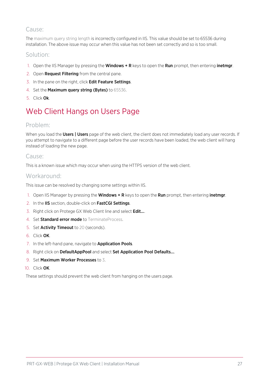### Cause:

The maximum query string length is incorrectly configured in IIS. This value should be set to 65536 during installation. The above issue may occur when this value has not been set correctly and so is too small.

#### Solution:

- 1. Open the IIS Manager by pressing the **Windows + R** keys to open the **Run** prompt, then entering *inetmgr.*
- 2. Open Request Filtering from the central pane.
- 3. In the pane on the right, click Edit Feature Settings.
- 4. Set the Maximum query string (Bytes) to 65536.
- <span id="page-26-0"></span>5. Click Ok.

# Web Client Hangs on Users Page

#### Problem:

When you load the Users | Users page of the web client, the client does not immediately load any user records. If you attempt to navigate to a different page before the user records have been loaded, the web client will hang instead of loading the new page.

#### Cause:

This is a known issue which may occur when using the HTTPS version of the web client.

#### Workaround:

This issue can be resolved by changing some settings within IIS.

- 1. Open IIS Manager by pressing the Windows + R keys to open the Run prompt, then entering inetmgr.
- 2. In the IIS section, double-click on FastCGI Settings.
- 3. Right click on Protege GX Web Client line and select Edit....
- 4. Set **Standard error mode** to TerminateProcess.
- 5. Set Activity Timeout to 20 (seconds).
- 6. Click OK.
- 7. In the left-hand pane, navigate to **Application Pools**.
- 8. Right click on DefaultAppPool and select Set Application Pool Defaults....
- 9. Set Maximum Worker Processes to 3.
- 10. Click OK.

These settings should prevent the web client from hanging on the users page.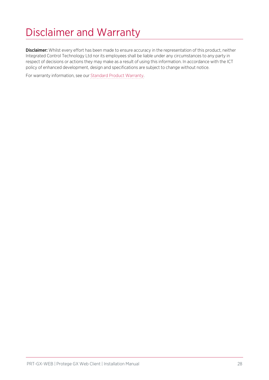# <span id="page-27-0"></span>Disclaimer and Warranty

Disclaimer: Whilst every effort has been made to ensure accuracy in the representation of this product, neither Integrated Control Technology Ltd nor its employees shall be liable under any circumstances to any party in respect of decisions or actions they may make as a result of using this information. In accordance with the ICT policy of enhanced development, design and specifications are subject to change without notice.

For warranty information, see our Standard Product [Warranty.](https://www.ict.co/Standard-Product-Warranty)